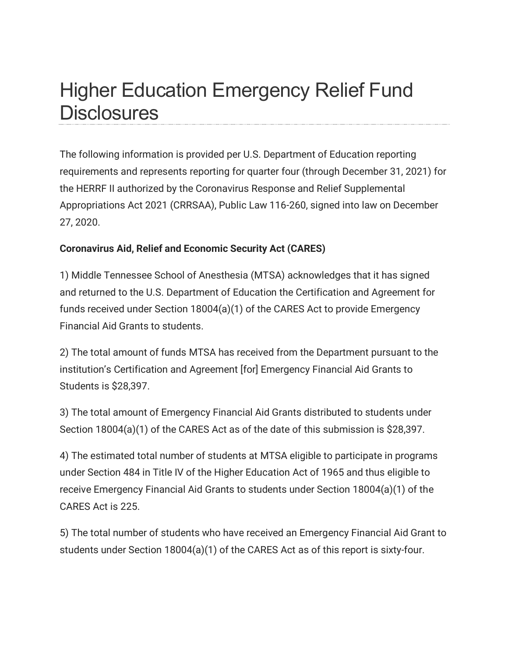## Higher Education Emergency Relief Fund **Disclosures**

The following information is provided per U.S. Department of Education reporting requirements and represents reporting for quarter four (through December 31, 2021) for the HERRF II authorized by the Coronavirus Response and Relief Supplemental Appropriations Act 2021 (CRRSAA), Public Law 116-260, signed into law on December 27, 2020.

## **Coronavirus Aid, Relief and Economic Security Act (CARES)**

1) Middle Tennessee School of Anesthesia (MTSA) acknowledges that it has signed and returned to the U.S. Department of Education the Certification and Agreement for funds received under Section 18004(a)(1) of the CARES Act to provide Emergency Financial Aid Grants to students.

2) The total amount of funds MTSA has received from the Department pursuant to the institution's Certification and Agreement [for] Emergency Financial Aid Grants to Students is \$28,397.

3) The total amount of Emergency Financial Aid Grants distributed to students under Section 18004(a)(1) of the CARES Act as of the date of this submission is \$28,397.

4) The estimated total number of students at MTSA eligible to participate in programs under Section 484 in Title IV of the Higher Education Act of 1965 and thus eligible to receive Emergency Financial Aid Grants to students under Section 18004(a)(1) of the CARES Act is 225.

5) The total number of students who have received an Emergency Financial Aid Grant to students under Section 18004(a)(1) of the CARES Act as of this report is sixty-four.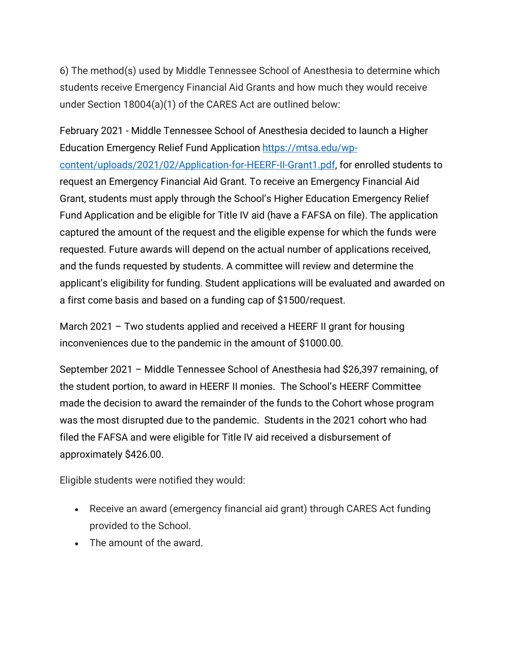6) The method(s) used by Middle Tennessee School of Anesthesia to determine which students receive Emergency Financial Aid Grants and how much they would receive under Section 18004(a)(1) of the CARES Act are outlined below:

February 2021 - Middle Tennessee School of Anesthesia decided to launch a Higher Education Emergency Relief Fund Application [https://mtsa.edu/wp](https://mtsa.edu/wp-content/uploads/2021/02/Application-for-HEERF-II-Grant1.pdf)[content/uploads/2021/02/Application-for-HEERF-II-Grant1.pdf,](https://mtsa.edu/wp-content/uploads/2021/02/Application-for-HEERF-II-Grant1.pdf) for enrolled students to request an Emergency Financial Aid Grant. To receive an Emergency Financial Aid Grant, students must apply through the School's Higher Education Emergency Relief Fund Application and be eligible for Title IV aid (have a FAFSA on file). The application captured the amount of the request and the eligible expense for which the funds were requested. Future awards will depend on the actual number of applications received, and the funds requested by students. A committee will review and determine the applicant's eligibility for funding. Student applications will be evaluated and awarded on a first come basis and based on a funding cap of \$1500/request.

March 2021 – Two students applied and received a HEERF II grant for housing inconveniences due to the pandemic in the amount of \$1000.00.

September 2021 – Middle Tennessee School of Anesthesia had \$26,397 remaining, of the student portion, to award in HEERF II monies. The School's HEERF Committee made the decision to award the remainder of the funds to the Cohort whose program was the most disrupted due to the pandemic. Students in the 2021 cohort who had filed the FAFSA and were eligible for Title IV aid received a disbursement of approximately \$426.00.

Eligible students were notified they would:

- Receive an award (emergency financial aid grant) through CARES Act funding provided to the School.
- The amount of the award.